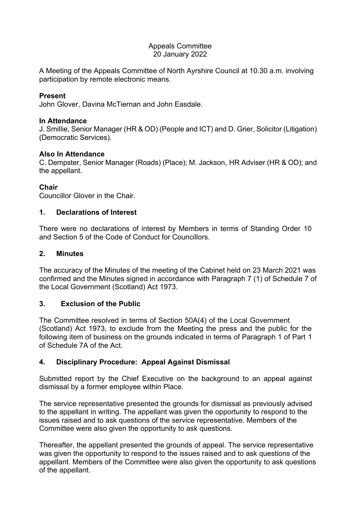#### Appeals Committee 20 January 2022

A Meeting of the Appeals Committee of North Ayrshire Council at 10.30 a.m. involving participation by remote electronic means.

#### **Present**

John Glover, Davina McTiernan and John Easdale.

#### **In Attendance**

J. Smillie, Senior Manager (HR & OD) (People and ICT) and D. Grier, Solicitor (Litigation) (Democratic Services).

# **Also In Attendance**

C. Dempster, Senior Manager (Roads) (Place); M. Jackson, HR Adviser (HR & OD); and the appellant.

### **Chair**

Councillor Glover in the Chair.

### **1. Declarations of Interest**

There were no declarations of interest by Members in terms of Standing Order 10 and Section 5 of the Code of Conduct for Councillors.

### **2. Minutes**

The accuracy of the Minutes of the meeting of the Cabinet held on 23 March 2021 was confirmed and the Minutes signed in accordance with Paragraph 7 (1) of Schedule 7 of the Local Government (Scotland) Act 1973.

# **3. Exclusion of the Public**

The Committee resolved in terms of Section 50A(4) of the Local Government (Scotland) Act 1973, to exclude from the Meeting the press and the public for the following item of business on the grounds indicated in terms of Paragraph 1 of Part 1 of Schedule 7A of the Act.

# **4. Disciplinary Procedure: Appeal Against Dismissal**

Submitted report by the Chief Executive on the background to an appeal against dismissal by a former employee within Place.

The service representative presented the grounds for dismissal as previously advised to the appellant in writing. The appellant was given the opportunity to respond to the issues raised and to ask questions of the service representative. Members of the Committee were also given the opportunity to ask questions.

Thereafter, the appellant presented the grounds of appeal. The service representative was given the opportunity to respond to the issues raised and to ask questions of the appellant. Members of the Committee were also given the opportunity to ask questions of the appellant.